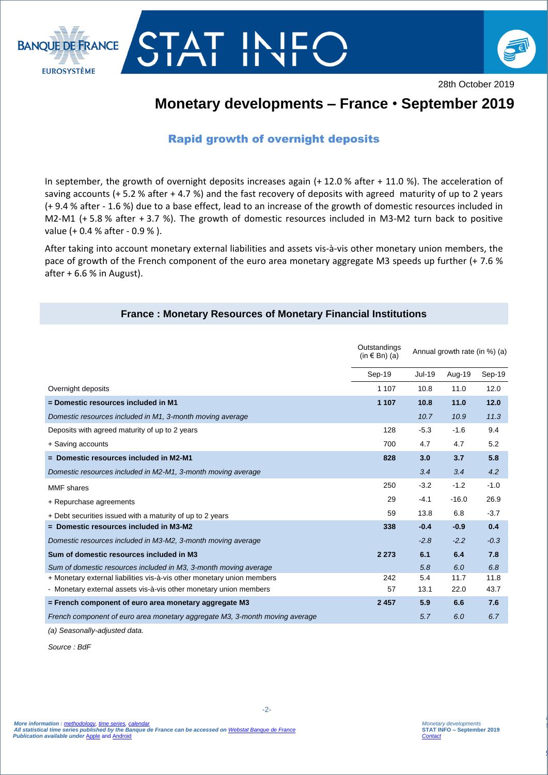



28th October 2019

# **Monetary developments – France** • **September 2019**

## Rapid growth of overnight deposits

In september, the growth of overnight deposits increases again (+ 12.0 % after + 11.0 %). The acceleration of saving accounts (+ 5.2 % after + 4.7 %) and the fast recovery of deposits with agreed maturity of up to 2 years (+ 9.4 % after - 1.6 %) due to a base effect, lead to an increase of the growth of domestic resources included in M2-M1 (+ 5.8 % after + 3.7 %). The growth of domestic resources included in M3-M2 turn back to positive value (+ 0.4 % after - 0.9 % ).

After taking into account monetary external liabilities and assets vis-à-vis other monetary union members, the pace of growth of the French component of the euro area monetary aggregate M3 speeds up further (+ 7.6 % after  $+6.6$  % in August).

#### **France : Monetary Resources of Monetary Financial Institutions**

|                                                                             | Outstandings<br>$(in \in Bn)$ (a) | Annual growth rate (in %) (a) |         |        |
|-----------------------------------------------------------------------------|-----------------------------------|-------------------------------|---------|--------|
|                                                                             | Sep-19                            | <b>Jul-19</b>                 | Aug-19  | Sep-19 |
| Overnight deposits                                                          | 1 1 0 7                           | 10.8                          | 11.0    | 12.0   |
| = Domestic resources included in M1                                         | 1 1 0 7                           | 10.8                          | 11.0    | 12.0   |
| Domestic resources included in M1, 3-month moving average                   |                                   | 10.7                          | 10.9    | 11.3   |
| Deposits with agreed maturity of up to 2 years                              | 128                               | $-5.3$                        | $-1.6$  | 9.4    |
| + Saving accounts                                                           | 700                               | 4.7                           | 4.7     | 5.2    |
| $=$ Domestic resources included in M2-M1                                    | 828                               | 3.0                           | 3.7     | 5.8    |
| Domestic resources included in M2-M1, 3-month moving average                |                                   | 3.4                           | 3.4     | 4.2    |
| MMF shares                                                                  | 250                               | $-3.2$                        | $-1.2$  | $-1.0$ |
| + Repurchase agreements                                                     | 29                                | $-4.1$                        | $-16.0$ | 26.9   |
| + Debt securities issued with a maturity of up to 2 years                   | 59                                | 13.8                          | 6.8     | $-3.7$ |
| $=$ Domestic resources included in M3-M2                                    | 338                               | $-0.4$                        | $-0.9$  | 0.4    |
| Domestic resources included in M3-M2, 3-month moving average                |                                   | $-2.8$                        | $-2.2$  | $-0.3$ |
| Sum of domestic resources included in M3                                    | 2 2 7 3                           | 6.1                           | 6.4     | 7.8    |
| Sum of domestic resources included in M3, 3-month moving average            |                                   | 5.8                           | 6.0     | 6.8    |
| + Monetary external liabilities vis-à-vis other monetary union members      | 242                               | 5.4                           | 11.7    | 11.8   |
| - Monetary external assets vis-à-vis other monetary union members           | 57                                | 13.1                          | 22.0    | 43.7   |
| = French component of euro area monetary aggregate M3                       | 2457                              | 5.9                           | 6.6     | 7.6    |
| French component of euro area monetary aggregate M3, 3-month moving average |                                   | 5.7                           | 6.0     | 6.7    |

*(a) Seasonally-adjusted data.*

*Source : BdF*

*La balance des paiements*  **STAT INFO – novembre 2016**

*[Contact Stat Info Balance des Paiements](mailto:1562-CENTRAL-UT@banque-france.fr?subject=[Support%20Statistique]%20Balance%20des%20paiements)*